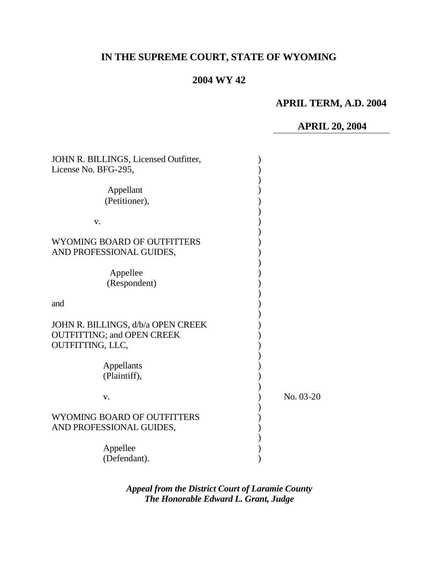# **IN THE SUPREME COURT, STATE OF WYOMING**

## **2004 WY 42**

### **APRIL TERM, A.D. 2004**

# **APRIL 20, 2004**

| JOHN R. BILLINGS, Licensed Outfitter,                                                       |           |
|---------------------------------------------------------------------------------------------|-----------|
| License No. BFG-295,                                                                        |           |
| Appellant<br>(Petitioner),                                                                  |           |
| V.                                                                                          |           |
| WYOMING BOARD OF OUTFITTERS<br>AND PROFESSIONAL GUIDES,                                     |           |
| Appellee<br>(Respondent)                                                                    |           |
| and                                                                                         |           |
| JOHN R. BILLINGS, d/b/a OPEN CREEK<br><b>OUTFITTING; and OPEN CREEK</b><br>OUTFITTING, LLC, |           |
| Appellants<br>(Plaintiff),                                                                  |           |
| V.                                                                                          | No. 03-20 |
| <b>WYOMING BOARD OF OUTFITTERS</b><br>AND PROFESSIONAL GUIDES,                              |           |
| Appellee<br>(Defendant).                                                                    |           |

*Appeal from the District Court of Laramie County The Honorable Edward L. Grant, Judge*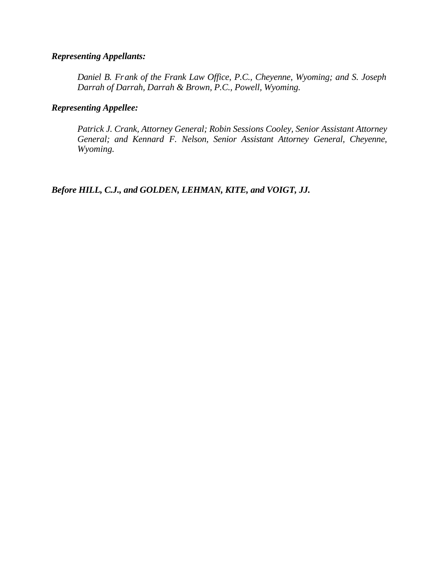### *Representing Appellants:*

*Daniel B. Frank of the Frank Law Office, P.C., Cheyenne, Wyoming; and S. Joseph Darrah of Darrah, Darrah & Brown, P.C., Powell, Wyoming.*

### *Representing Appellee:*

*Patrick J. Crank, Attorney General; Robin Sessions Cooley, Senior Assistant Attorney General; and Kennard F. Nelson, Senior Assistant Attorney General, Cheyenne, Wyoming.*

*Before HILL, C.J., and GOLDEN, LEHMAN, KITE, and VOIGT, JJ.*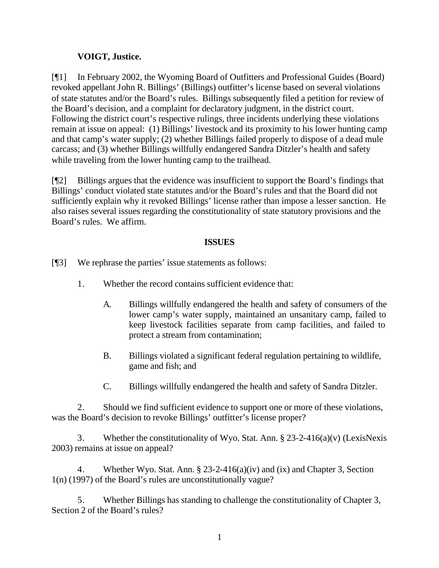### **VOIGT, Justice.**

[¶1] In February 2002, the Wyoming Board of Outfitters and Professional Guides (Board) revoked appellant John R. Billings' (Billings) outfitter's license based on several violations of state statutes and/or the Board's rules. Billings subsequently filed a petition for review of the Board's decision, and a complaint for declaratory judgment, in the district court. Following the district court's respective rulings, three incidents underlying these violations remain at issue on appeal: (1) Billings' livestock and its proximity to his lower hunting camp and that camp's water supply; (2) whether Billings failed properly to dispose of a dead mule carcass; and (3) whether Billings willfully endangered Sandra Ditzler's health and safety while traveling from the lower hunting camp to the trailhead.

[¶2] Billings argues that the evidence was insufficient to support the Board's findings that Billings' conduct violated state statutes and/or the Board's rules and that the Board did not sufficiently explain why it revoked Billings' license rather than impose a lesser sanction. He also raises several issues regarding the constitutionality of state statutory provisions and the Board's rules. We affirm.

### **ISSUES**

[¶3] We rephrase the parties' issue statements as follows:

- 1. Whether the record contains sufficient evidence that:
	- A. Billings willfully endangered the health and safety of consumers of the lower camp's water supply, maintained an unsanitary camp, failed to keep livestock facilities separate from camp facilities, and failed to protect a stream from contamination;
	- B. Billings violated a significant federal regulation pertaining to wildlife, game and fish; and
	- C. Billings willfully endangered the health and safety of Sandra Ditzler.

2. Should we find sufficient evidence to support one or more of these violations, was the Board's decision to revoke Billings' outfitter's license proper?

3. Whether the constitutionality of Wyo. Stat. Ann. § 23-2-416(a)(v) (LexisNexis 2003) remains at issue on appeal?

4. Whether Wyo. Stat. Ann. § 23-2-416(a)(iv) and (ix) and Chapter 3, Section 1(n) (1997) of the Board's rules are unconstitutionally vague?

5. Whether Billings has standing to challenge the constitutionality of Chapter 3, Section 2 of the Board's rules?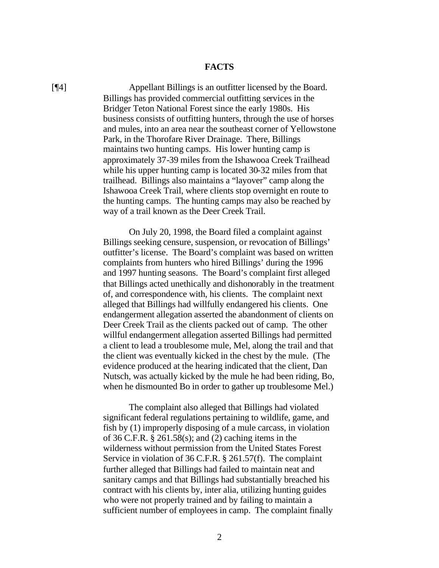#### **FACTS**

[¶4] Appellant Billings is an outfitter licensed by the Board. Billings has provided commercial outfitting services in the Bridger Teton National Forest since the early 1980s. His business consists of outfitting hunters, through the use of horses and mules, into an area near the southeast corner of Yellowstone Park, in the Thorofare River Drainage. There, Billings maintains two hunting camps. His lower hunting camp is approximately 37-39 miles from the Ishawooa Creek Trailhead while his upper hunting camp is located 30-32 miles from that trailhead. Billings also maintains a "layover" camp along the Ishawooa Creek Trail, where clients stop overnight en route to the hunting camps. The hunting camps may also be reached by way of a trail known as the Deer Creek Trail.

> On July 20, 1998, the Board filed a complaint against Billings seeking censure, suspension, or revocation of Billings' outfitter's license. The Board's complaint was based on written complaints from hunters who hired Billings' during the 1996 and 1997 hunting seasons. The Board's complaint first alleged that Billings acted unethically and dishonorably in the treatment of, and correspondence with, his clients. The complaint next alleged that Billings had willfully endangered his clients. One endangerment allegation asserted the abandonment of clients on Deer Creek Trail as the clients packed out of camp. The other willful endangerment allegation asserted Billings had permitted a client to lead a troublesome mule, Mel, along the trail and that the client was eventually kicked in the chest by the mule. (The evidence produced at the hearing indicated that the client, Dan Nutsch, was actually kicked by the mule he had been riding, Bo, when he dismounted Bo in order to gather up troublesome Mel.)

> The complaint also alleged that Billings had violated significant federal regulations pertaining to wildlife, game, and fish by (1) improperly disposing of a mule carcass, in violation of 36 C.F.R. § 261.58(s); and (2) caching items in the wilderness without permission from the United States Forest Service in violation of 36 C.F.R. § 261.57(f). The complaint further alleged that Billings had failed to maintain neat and sanitary camps and that Billings had substantially breached his contract with his clients by, inter alia, utilizing hunting guides who were not properly trained and by failing to maintain a sufficient number of employees in camp. The complaint finally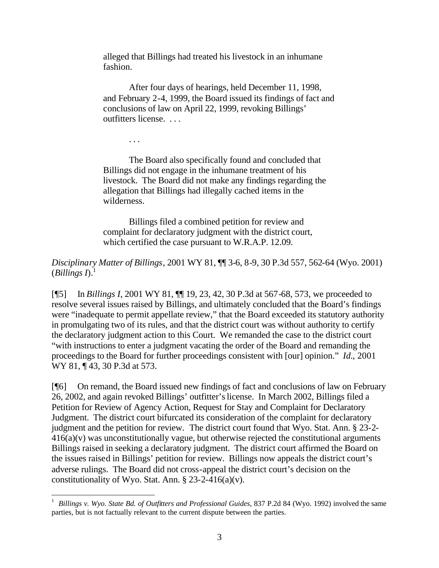alleged that Billings had treated his livestock in an inhumane fashion.

After four days of hearings, held December 11, 1998, and February 2-4, 1999, the Board issued its findings of fact and conclusions of law on April 22, 1999, revoking Billings' outfitters license. . . .

The Board also specifically found and concluded that Billings did not engage in the inhumane treatment of his livestock. The Board did not make any findings regarding the allegation that Billings had illegally cached items in the wilderness.

. . .

l

Billings filed a combined petition for review and complaint for declaratory judgment with the district court, which certified the case pursuant to W.R.A.P. 12.09.

*Disciplinary Matter of Billings*, 2001 WY 81, ¶¶ 3-6, 8-9, 30 P.3d 557, 562-64 (Wyo. 2001) (*Billings I*). 1

[¶5] In *Billings I*, 2001 WY 81, ¶¶ 19, 23, 42, 30 P.3d at 567-68, 573, we proceeded to resolve several issues raised by Billings, and ultimately concluded that the Board's findings were "inadequate to permit appellate review," that the Board exceeded its statutory authority in promulgating two of its rules, and that the district court was without authority to certify the declaratory judgment action to this Court. We remanded the case to the district court "with instructions to enter a judgment vacating the order of the Board and remanding the proceedings to the Board for further proceedings consistent with [our] opinion." *Id.*, 2001 WY 81, ¶43, 30 P.3d at 573.

[¶6] On remand, the Board issued new findings of fact and conclusions of law on February 26, 2002, and again revoked Billings' outfitter's license. In March 2002, Billings filed a Petition for Review of Agency Action, Request for Stay and Complaint for Declaratory Judgment. The district court bifurcated its consideration of the complaint for declaratory judgment and the petition for review. The district court found that Wyo. Stat. Ann. § 23-2- 416(a)(v) was unconstitutionally vague, but otherwise rejected the constitutional arguments Billings raised in seeking a declaratory judgment. The district court affirmed the Board on the issues raised in Billings' petition for review. Billings now appeals the district court's adverse rulings. The Board did not cross-appeal the district court's decision on the constitutionality of Wyo. Stat. Ann.  $\S$  23-2-416(a)(v).

<sup>1</sup> *Billings v. Wyo. State Bd. of Outfitters and Professional Guides*, 837 P.2d 84 (Wyo. 1992) involved the same parties, but is not factually relevant to the current dispute between the parties.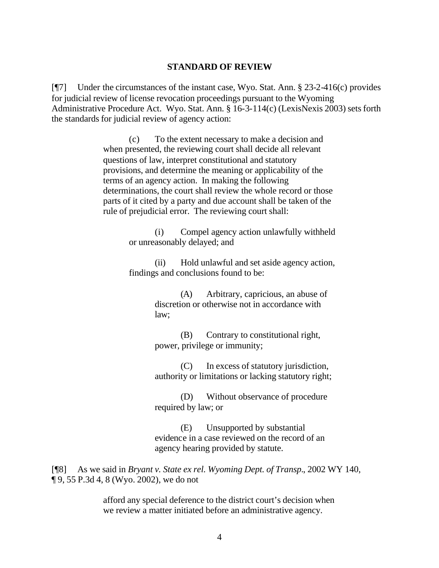#### **STANDARD OF REVIEW**

[¶7] Under the circumstances of the instant case, Wyo. Stat. Ann. § 23-2-416(c) provides for judicial review of license revocation proceedings pursuant to the Wyoming Administrative Procedure Act. Wyo. Stat. Ann. § 16-3-114(c) (LexisNexis 2003) sets forth the standards for judicial review of agency action:

> (c) To the extent necessary to make a decision and when presented, the reviewing court shall decide all relevant questions of law, interpret constitutional and statutory provisions, and determine the meaning or applicability of the terms of an agency action. In making the following determinations, the court shall review the whole record or those parts of it cited by a party and due account shall be taken of the rule of prejudicial error. The reviewing court shall:

> > (i) Compel agency action unlawfully withheld or unreasonably delayed; and

> > (ii) Hold unlawful and set aside agency action, findings and conclusions found to be:

> > > (A) Arbitrary, capricious, an abuse of discretion or otherwise not in accordance with law;

(B) Contrary to constitutional right, power, privilege or immunity;

(C) In excess of statutory jurisdiction, authority or limitations or lacking statutory right;

(D) Without observance of procedure required by law; or

(E) Unsupported by substantial evidence in a case reviewed on the record of an agency hearing provided by statute.

[¶8] As we said in *Bryant v. State ex rel. Wyoming Dept. of Transp.*, 2002 WY 140, ¶ 9, 55 P.3d 4, 8 (Wyo. 2002), we do not

> afford any special deference to the district court's decision when we review a matter initiated before an administrative agency.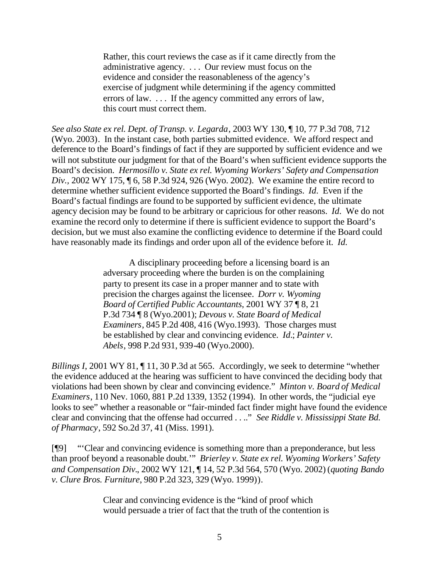Rather, this court reviews the case as if it came directly from the administrative agency. . . . Our review must focus on the evidence and consider the reasonableness of the agency's exercise of judgment while determining if the agency committed errors of law. . . . If the agency committed any errors of law, this court must correct them.

*See also State ex rel. Dept. of Transp. v. Legarda*, 2003 WY 130, ¶ 10, 77 P.3d 708, 712 (Wyo. 2003). In the instant case, both parties submitted evidence. We afford respect and deference to the Board's findings of fact if they are supported by sufficient evidence and we will not substitute our judgment for that of the Board's when sufficient evidence supports the Board's decision. *Hermosillo v. State ex rel. Wyoming Workers' Safety and Compensation Div.,* 2002 WY 175, ¶ 6, 58 P.3d 924, 926 (Wyo. 2002). We examine the entire record to determine whether sufficient evidence supported the Board's findings. *Id.* Even if the Board's factual findings are found to be supported by sufficient evidence, the ultimate agency decision may be found to be arbitrary or capricious for other reasons. *Id.* We do not examine the record only to determine if there is sufficient evidence to support the Board's decision, but we must also examine the conflicting evidence to determine if the Board could have reasonably made its findings and order upon all of the evidence before it. *Id.*

> A disciplinary proceeding before a licensing board is an adversary proceeding where the burden is on the complaining party to present its case in a proper manner and to state with precision the charges against the licensee. *Dorr v. Wyoming Board of Certified Public Accountants*, 2001 WY 37 ¶ 8, 21 P.3d 734 ¶ 8 (Wyo.2001); *Devous v. State Board of Medical Examiners*, 845 P.2d 408, 416 (Wyo.1993). Those charges must be established by clear and convincing evidence. *Id.*; *Painter v. Abels*, 998 P.2d 931, 939-40 (Wyo.2000).

*Billings I*, 2001 WY 81, 11, 30 P.3d at 565. Accordingly, we seek to determine "whether the evidence adduced at the hearing was sufficient to have convinced the deciding body that violations had been shown by clear and convincing evidence." *Minton v. Board of Medical Examiners*, 110 Nev. 1060, 881 P.2d 1339, 1352 (1994). In other words, the "judicial eye looks to see" whether a reasonable or "fair-minded fact finder might have found the evidence clear and convincing that the offense had occurred . . .." *See Riddle v. Mississippi State Bd. of Pharmacy*, 592 So.2d 37, 41 (Miss. 1991).

[¶9] "'Clear and convincing evidence is something more than a preponderance, but less than proof beyond a reasonable doubt.'" *Brierley v. State ex rel. Wyoming Workers' Safety and Compensation Div.*, 2002 WY 121, ¶ 14, 52 P.3d 564, 570 (Wyo. 2002) (*quoting Bando v. Clure Bros. Furniture*, 980 P.2d 323, 329 (Wyo. 1999)).

> Clear and convincing evidence is the "kind of proof which would persuade a trier of fact that the truth of the contention is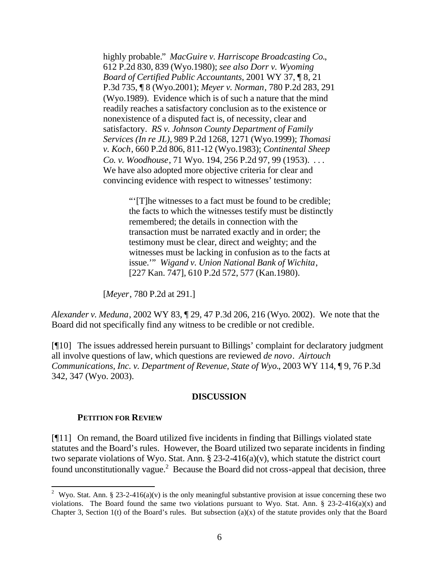highly probable." *MacGuire v. Harriscope Broadcasting Co.*, 612 P.2d 830, 839 (Wyo.1980); *see also Dorr v. Wyoming Board of Certified Public Accountants*, 2001 WY 37, ¶ 8, 21 P.3d 735, ¶ 8 (Wyo.2001); *Meyer v. Norman*, 780 P.2d 283, 291 (Wyo.1989). Evidence which is of such a nature that the mind readily reaches a satisfactory conclusion as to the existence or nonexistence of a disputed fact is, of necessity, clear and satisfactory. *RS v. Johnson County Department of Family Services (In re JL)*, 989 P.2d 1268, 1271 (Wyo.1999); *Thomasi v. Koch*, 660 P.2d 806, 811-12 (Wyo.1983); *Continental Sheep Co. v. Woodhouse*, 71 Wyo. 194, 256 P.2d 97, 99 (1953). . . . We have also adopted more objective criteria for clear and convincing evidence with respect to witnesses' testimony:

> "'[T]he witnesses to a fact must be found to be credible; the facts to which the witnesses testify must be distinctly remembered; the details in connection with the transaction must be narrated exactly and in order; the testimony must be clear, direct and weighty; and the witnesses must be lacking in confusion as to the facts at issue.'" *Wigand v. Union National Bank of Wichita*, [227 Kan. 747], 610 P.2d 572, 577 (Kan.1980).

[*Meyer*, 780 P.2d at 291.]

*Alexander v. Meduna*, 2002 WY 83, ¶ 29, 47 P.3d 206, 216 (Wyo. 2002). We note that the Board did not specifically find any witness to be credible or not credible.

[¶10] The issues addressed herein pursuant to Billings' complaint for declaratory judgment all involve questions of law, which questions are reviewed *de novo*. *Airtouch Communications, Inc. v. Department of Revenue, State of Wyo.*, 2003 WY 114, ¶ 9, 76 P.3d 342, 347 (Wyo. 2003).

#### **DISCUSSION**

#### **PETITION FOR REVIEW**

l

[¶11] On remand, the Board utilized five incidents in finding that Billings violated state statutes and the Board's rules. However, the Board utilized two separate incidents in finding two separate violations of Wyo. Stat. Ann.  $\S 23-2-416(a)(v)$ , which statute the district court found unconstitutionally vague.<sup>2</sup> Because the Board did not cross-appeal that decision, three

<sup>&</sup>lt;sup>2</sup> Wyo. Stat. Ann. § 23-2-416(a)(v) is the only meaningful substantive provision at issue concerning these two violations. The Board found the same two violations pursuant to Wyo. Stat. Ann. § 23-2-416(a)(x) and Chapter 3, Section 1(t) of the Board's rules. But subsection (a)(x) of the statute provides only that the Board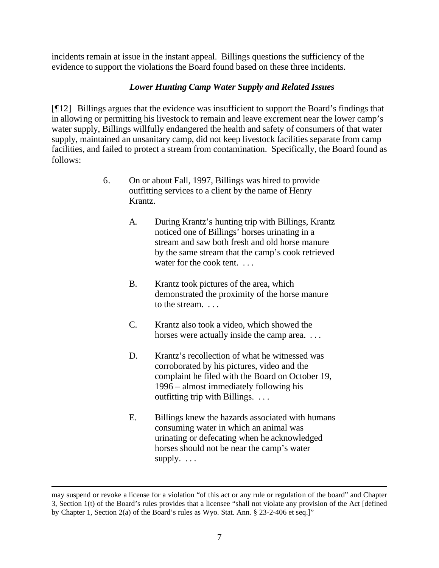incidents remain at issue in the instant appeal. Billings questions the sufficiency of the evidence to support the violations the Board found based on these three incidents.

### *Lower Hunting Camp Water Supply and Related Issues*

[¶12] Billings argues that the evidence was insufficient to support the Board's findings that in allowing or permitting his livestock to remain and leave excrement near the lower camp's water supply, Billings willfully endangered the health and safety of consumers of that water supply, maintained an unsanitary camp, did not keep livestock facilities separate from camp facilities, and failed to protect a stream from contamination. Specifically, the Board found as follows:

- 6. On or about Fall, 1997, Billings was hired to provide outfitting services to a client by the name of Henry Krantz.
	- A. During Krantz's hunting trip with Billings, Krantz noticed one of Billings' horses urinating in a stream and saw both fresh and old horse manure by the same stream that the camp's cook retrieved water for the cook tent. . . .
	- B. Krantz took pictures of the area, which demonstrated the proximity of the horse manure to the stream. . . .
	- C. Krantz also took a video, which showed the horses were actually inside the camp area. ...
	- D. Krantz's recollection of what he witnessed was corroborated by his pictures, video and the complaint he filed with the Board on October 19, 1996 – almost immediately following his outfitting trip with Billings. . . .
	- E. Billings knew the hazards associated with humans consuming water in which an animal was urinating or defecating when he acknowledged horses should not be near the camp's water supply. . . .

may suspend or revoke a license for a violation "of this act or any rule or regulation of the board" and Chapter 3, Section 1(t) of the Board's rules provides that a licensee "shall not violate any provision of the Act [defined by Chapter 1, Section 2(a) of the Board's rules as Wyo. Stat. Ann. § 23-2-406 et seq.]"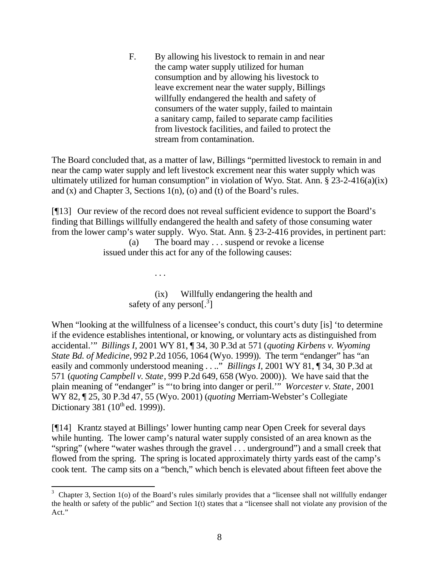F. By allowing his livestock to remain in and near the camp water supply utilized for human consumption and by allowing his livestock to leave excrement near the water supply, Billings willfully endangered the health and safety of consumers of the water supply, failed to maintain a sanitary camp, failed to separate camp facilities from livestock facilities, and failed to protect the stream from contamination.

The Board concluded that, as a matter of law, Billings "permitted livestock to remain in and near the camp water supply and left livestock excrement near this water supply which was ultimately utilized for human consumption" in violation of Wyo. Stat. Ann.  $\S 23-2-416(a)(ix)$ and (x) and Chapter 3, Sections 1(n), (o) and (t) of the Board's rules.

[¶13] Our review of the record does not reveal sufficient evidence to support the Board's finding that Billings willfully endangered the health and safety of those consuming water from the lower camp's water supply. Wyo. Stat. Ann. § 23-2-416 provides, in pertinent part:

(a) The board may . . . suspend or revoke a license issued under this act for any of the following causes:

. . .

(ix) Willfully endangering the health and safety of any person $[^3]$ 

When "looking at the willfulness of a licensee's conduct, this court's duty [is] 'to determine if the evidence establishes intentional, or knowing, or voluntary acts as distinguished from accidental.'" *Billings I*, 2001 WY 81, ¶ 34, 30 P.3d at 571 (*quoting Kirbens v. Wyoming State Bd. of Medicine*, 992 P.2d 1056, 1064 (Wyo. 1999)). The term "endanger" has "an easily and commonly understood meaning . . .." *Billings I*, 2001 WY 81, ¶ 34, 30 P.3d at 571 (*quoting Campbell v. State*, 999 P.2d 649, 658 (Wyo. 2000)). We have said that the plain meaning of "endanger" is "'to bring into danger or peril.'" *Worcester v. State*, 2001 WY 82, ¶ 25, 30 P.3d 47, 55 (Wyo. 2001) (*quoting* Merriam-Webster's Collegiate Dictionary 381  $(10^{th}$  ed. 1999)).

[¶14] Krantz stayed at Billings' lower hunting camp near Open Creek for several days while hunting. The lower camp's natural water supply consisted of an area known as the "spring" (where "water washes through the gravel . . . underground") and a small creek that flowed from the spring. The spring is located approximately thirty yards east of the camp's cook tent. The camp sits on a "bench," which bench is elevated about fifteen feet above the

<sup>&</sup>lt;sup>3</sup> Chapter 3, Section 1(o) of the Board's rules similarly provides that a "licensee shall not willfully endanger the health or safety of the public" and Section 1(t) states that a "licensee shall not violate any provision of the Act."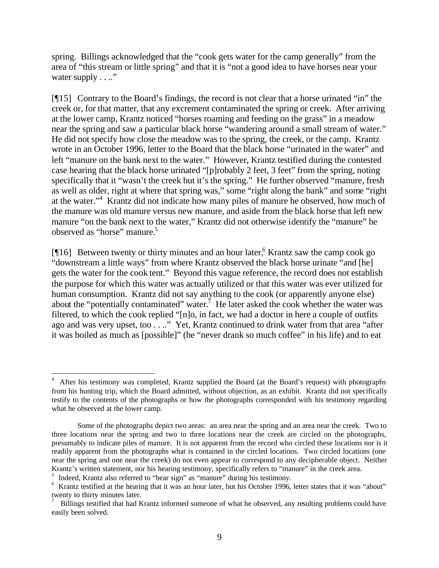spring. Billings acknowledged that the "cook gets water for the camp generally" from the area of "this stream or little spring" and that it is "not a good idea to have horses near your water supply . . .."

[¶15] Contrary to the Board's findings, the record is not clear that a horse urinated "in" the creek or, for that matter, that any excrement contaminated the spring or creek. After arriving at the lower camp, Krantz noticed "horses roaming and feeding on the grass" in a meadow near the spring and saw a particular black horse "wandering around a small stream of water." He did not specify how close the meadow was to the spring, the creek, or the camp. Krantz wrote in an October 1996, letter to the Board that the black horse "urinated in the water" and left "manure on the bank next to the water." However, Krantz testified during the contested case hearing that the black horse urinated "[p]robably 2 feet, 3 feet" from the spring, noting specifically that it "wasn't the creek but it's the spring." He further observed "manure, fresh as well as older, right at where that spring was," some "right along the bank" and some "right at the water."<sup>4</sup> Krantz did not indicate how many piles of manure he observed, how much of the manure was old manure versus new manure, and aside from the black horse that left new manure "on the bank next to the water," Krantz did not otherwise identify the "manure" he observed as "horse" manure.<sup>5</sup>

[ $[16]$  Between twenty or thirty minutes and an hour later,<sup>6</sup> Krantz saw the camp cook go "downstream a little ways" from where Krantz observed the black horse urinate "and [he] gets the water for the cook tent." Beyond this vague reference, the record does not establish the purpose for which this water was actually utilized or that this water was ever utilized for human consumption. Krantz did not say anything to the cook (or apparently anyone else) about the "potentially contaminated" water.<sup>7</sup> He later asked the cook whether the water was filtered, to which the cook replied "[n]o, in fact, we had a doctor in here a couple of outfits ago and was very upset, too . . .." Yet, Krantz continued to drink water from that area "after it was boiled as much as [possible]" (he "never drank so much coffee" in his life) and to eat

<sup>4</sup> After his testimony was completed, Krantz supplied the Board (at the Board's request) with photographs from his hunting trip, which the Board admitted, without objection, as an exhibit. Krantz did not specifically testify to the contents of the photographs or how the photographs corresponded with his testimony regarding what he observed at the lower camp.

Some of the photographs depict two areas: an area near the spring and an area near the creek. Two to three locations near the spring and two to three locations near the creek are circled on the photographs, presumably to indicate piles of manure. It is not apparent from the record who circled these locations nor is it readily apparent from the photographs what is contained in the circled locations. Two circled locations (one near the spring and one near the creek) do not even appear to correspond to any decipherable object. Neither Krantz's written statement, nor his hearing testimony, specifically refers to "manure" in the creek area.

<sup>5</sup> Indeed, Krantz also referred to "bear sign" as "manure" during his testimony.

<sup>&</sup>lt;sup>6</sup> Krantz testified at the hearing that it was an hour later, but his October 1996, letter states that it was "about" twenty to thirty minutes later.

<sup>7</sup> Billings testified that had Krantz informed someone of what he observed, any resulting problems could have easily been solved.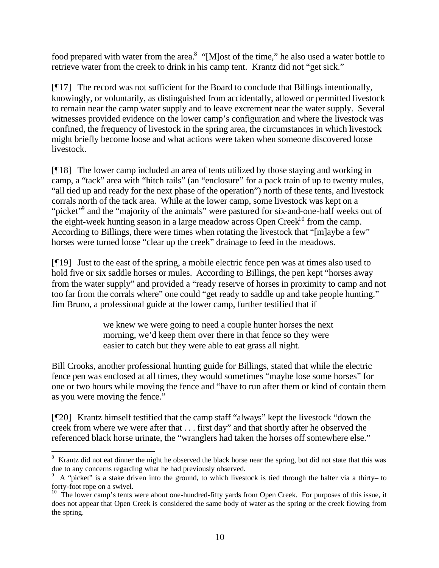food prepared with water from the area.<sup>8</sup> "[M]ost of the time," he also used a water bottle to retrieve water from the creek to drink in his camp tent. Krantz did not "get sick."

 $[917]$  The record was not sufficient for the Board to conclude that Billings intentionally, knowingly, or voluntarily, as distinguished from accidentally, allowed or permitted livestock to remain near the camp water supply and to leave excrement near the water supply. Several witnesses provided evidence on the lower camp's configuration and where the livestock was confined, the frequency of livestock in the spring area, the circumstances in which livestock might briefly become loose and what actions were taken when someone discovered loose livestock.

[¶18] The lower camp included an area of tents utilized by those staying and working in camp, a "tack" area with "hitch rails" (an "enclosure" for a pack train of up to twenty mules, "all tied up and ready for the next phase of the operation") north of these tents, and livestock corrals north of the tack area. While at the lower camp, some livestock was kept on a "picket"<sup>9</sup> and the "majority of the animals" were pastured for six-and-one-half weeks out of the eight-week hunting season in a large meadow across Open Creek<sup>10</sup> from the camp. According to Billings, there were times when rotating the livestock that "[m]aybe a few" horses were turned loose "clear up the creek" drainage to feed in the meadows.

[¶19] Just to the east of the spring, a mobile electric fence pen was at times also used to hold five or six saddle horses or mules. According to Billings, the pen kept "horses away from the water supply" and provided a "ready reserve of horses in proximity to camp and not too far from the corrals where" one could "get ready to saddle up and take people hunting." Jim Bruno, a professional guide at the lower camp, further testified that if

> we knew we were going to need a couple hunter horses the next morning, we'd keep them over there in that fence so they were easier to catch but they were able to eat grass all night.

Bill Crooks, another professional hunting guide for Billings, stated that while the electric fence pen was enclosed at all times, they would sometimes "maybe lose some horses" for one or two hours while moving the fence and "have to run after them or kind of contain them as you were moving the fence."

[¶20] Krantz himself testified that the camp staff "always" kept the livestock "down the creek from where we were after that . . . first day" and that shortly after he observed the referenced black horse urinate, the "wranglers had taken the horses off somewhere else."

<sup>&</sup>lt;sup>8</sup> Krantz did not eat dinner the night he observed the black horse near the spring, but did not state that this was due to any concerns regarding what he had previously observed.

<sup>9</sup> A "picket" is a stake driven into the ground, to which livestock is tied through the halter via a thirty– to forty-foot rope on a swivel.

<sup>&</sup>lt;sup>10</sup> The lower camp's tents were about one-hundred-fifty yards from Open Creek. For purposes of this issue, it does not appear that Open Creek is considered the same body of water as the spring or the creek flowing from the spring.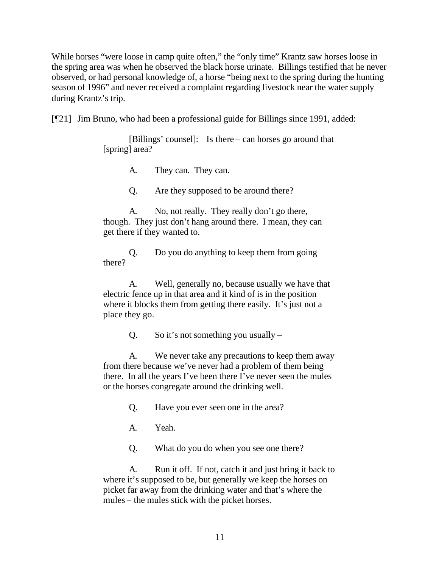While horses "were loose in camp quite often," the "only time" Krantz saw horses loose in the spring area was when he observed the black horse urinate. Billings testified that he never observed, or had personal knowledge of, a horse "being next to the spring during the hunting season of 1996" and never received a complaint regarding livestock near the water supply during Krantz's trip.

[¶21] Jim Bruno, who had been a professional guide for Billings since 1991, added:

[Billings' counsel]: Is there – can horses go around that [spring] area?

A. They can. They can.

Q. Are they supposed to be around there?

A. No, not really. They really don't go there, though. They just don't hang around there. I mean, they can get there if they wanted to.

Q. Do you do anything to keep them from going there?

A. Well, generally no, because usually we have that electric fence up in that area and it kind of is in the position where it blocks them from getting there easily. It's just not a place they go.

Q. So it's not something you usually  $-$ 

A. We never take any precautions to keep them away from there because we've never had a problem of them being there. In all the years I've been there I've never seen the mules or the horses congregate around the drinking well.

Q. Have you ever seen one in the area?

A. Yeah.

Q. What do you do when you see one there?

A. Run it off. If not, catch it and just bring it back to where it's supposed to be, but generally we keep the horses on picket far away from the drinking water and that's where the mules – the mules stick with the picket horses.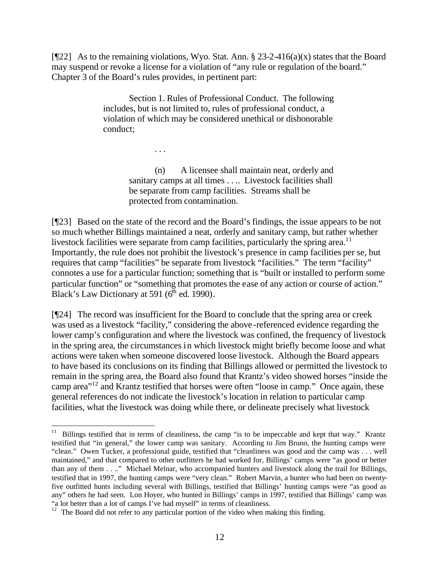[ $[$ 22] As to the remaining violations, Wyo. Stat. Ann. § 23-2-416(a)(x) states that the Board may suspend or revoke a license for a violation of "any rule or regulation of the board." Chapter 3 of the Board's rules provides, in pertinent part:

> Section 1. Rules of Professional Conduct. The following includes, but is not limited to, rules of professional conduct, a violation of which may be considered unethical or dishonorable conduct;

> > . . .

(n) A licensee shall maintain neat, orderly and sanitary camps at all times . . . . Livestock facilities shall be separate from camp facilities. Streams shall be protected from contamination.

[¶23] Based on the state of the record and the Board's findings, the issue appears to be not so much whether Billings maintained a neat, orderly and sanitary camp, but rather whether livestock facilities were separate from camp facilities, particularly the spring area.<sup>11</sup> Importantly, the rule does not prohibit the livestock's presence in camp facilities per se, but requires that camp "facilities" be separate from livestock "facilities." The term "facility" connotes a use for a particular function; something that is "built or installed to perform some particular function" or "something that promotes the ease of any action or course of action." Black's Law Dictionary at 591 ( $6<sup>th</sup>$  ed. 1990).

[¶24] The record was insufficient for the Board to conclude that the spring area or creek was used as a livestock "facility," considering the above-referenced evidence regarding the lower camp's configuration and where the livestock was confined, the frequency of livestock in the spring area, the circumstances in which livestock might briefly become loose and what actions were taken when someone discovered loose livestock. Although the Board appears to have based its conclusions on its finding that Billings allowed or permitted the livestock to remain in the spring area, the Board also found that Krantz's video showed horses "inside the camp area"<sup>12</sup> and Krantz testified that horses were often "loose in camp." Once again, these general references do not indicate the livestock's location in relation to particular camp facilities, what the livestock was doing while there, or delineate precisely what livestock

<sup>&</sup>lt;sup>11</sup> Billings testified that in terms of cleanliness, the camp "is to be impeccable and kept that way." Krantz testified that "in general," the lower camp was sanitary. According to Jim Bruno, the hunting camps were "clean." Owen Tucker, a professional guide, testified that "cleanliness was good and the camp was . . . well maintained," and that compared to other outfitters he had worked for, Billings' camps were "as good or better than any of them . . .." Michael Melnar, who accompanied hunters and livestock along the trail for Billings, testified that in 1997, the hunting camps were "very clean." Robert Marvin, a hunter who had been on twentyfive outfitted hunts including several with Billings, testified that Billings' hunting camps were "as good as any" others he had seen. Lon Hoyer, who hunted in Billings' camps in 1997, testified that Billings' camp was "a lot better than a lot of camps I've had myself" in terms of cleanliness.

<sup>&</sup>lt;sup>12</sup> The Board did not refer to any particular portion of the video when making this finding.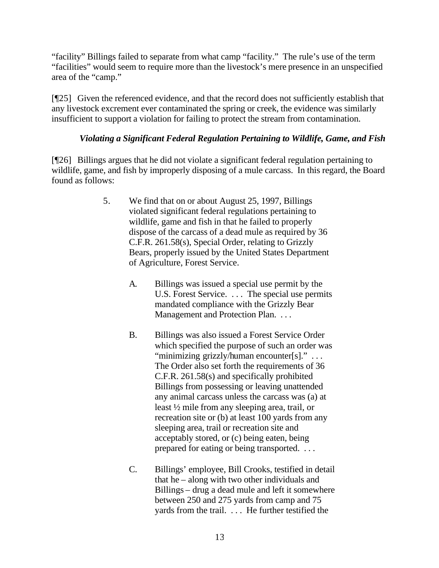"facility" Billings failed to separate from what camp "facility." The rule's use of the term "facilities" would seem to require more than the livestock's mere presence in an unspecified area of the "camp."

[¶25] Given the referenced evidence, and that the record does not sufficiently establish that any livestock excrement ever contaminated the spring or creek, the evidence was similarly insufficient to support a violation for failing to protect the stream from contamination.

### *Violating a Significant Federal Regulation Pertaining to Wildlife, Game, and Fish*

[¶26] Billings argues that he did not violate a significant federal regulation pertaining to wildlife, game, and fish by improperly disposing of a mule carcass. In this regard, the Board found as follows:

- 5. We find that on or about August 25, 1997, Billings violated significant federal regulations pertaining to wildlife, game and fish in that he failed to properly dispose of the carcass of a dead mule as required by 36 C.F.R. 261.58(s), Special Order, relating to Grizzly Bears, properly issued by the United States Department of Agriculture, Forest Service.
	- A. Billings was issued a special use permit by the U.S. Forest Service. . . . The special use permits mandated compliance with the Grizzly Bear Management and Protection Plan. . . .
	- B. Billings was also issued a Forest Service Order which specified the purpose of such an order was "minimizing grizzly/human encounter[s]." . . . The Order also set forth the requirements of 36 C.F.R. 261.58(s) and specifically prohibited Billings from possessing or leaving unattended any animal carcass unless the carcass was (a) at least ½ mile from any sleeping area, trail, or recreation site or (b) at least 100 yards from any sleeping area, trail or recreation site and acceptably stored, or (c) being eaten, being prepared for eating or being transported. . . .
	- C. Billings' employee, Bill Crooks, testified in detail that he – along with two other individuals and Billings – drug a dead mule and left it somewhere between 250 and 275 yards from camp and 75 yards from the trail. . . . He further testified the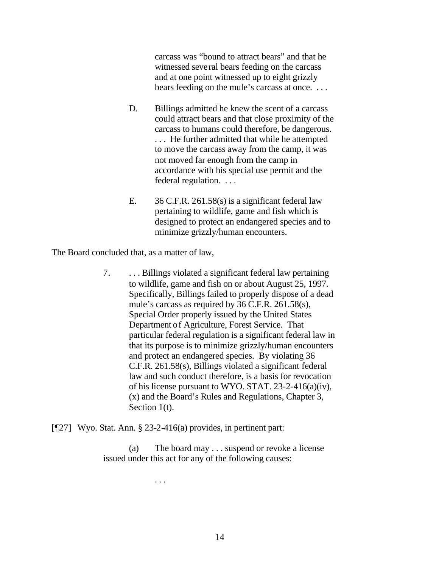carcass was "bound to attract bears" and that he witnessed several bears feeding on the carcass and at one point witnessed up to eight grizzly bears feeding on the mule's carcass at once. . . .

- D. Billings admitted he knew the scent of a carcass could attract bears and that close proximity of the carcass to humans could therefore, be dangerous. . . . He further admitted that while he attempted to move the carcass away from the camp, it was not moved far enough from the camp in accordance with his special use permit and the federal regulation. . . .
- E. 36 C.F.R. 261.58(s) is a significant federal law pertaining to wildlife, game and fish which is designed to protect an endangered species and to minimize grizzly/human encounters.

The Board concluded that, as a matter of law,

7. . . . Billings violated a significant federal law pertaining to wildlife, game and fish on or about August 25, 1997. Specifically, Billings failed to properly dispose of a dead mule's carcass as required by 36 C.F.R. 261.58(s), Special Order properly issued by the United States Department of Agriculture, Forest Service. That particular federal regulation is a significant federal law in that its purpose is to minimize grizzly/human encounters and protect an endangered species. By violating 36 C.F.R. 261.58(s), Billings violated a significant federal law and such conduct therefore, is a basis for revocation of his license pursuant to WYO. STAT. 23-2-416(a)(iv), (x) and the Board's Rules and Regulations, Chapter 3, Section 1(t).

[¶27] Wyo. Stat. Ann. § 23-2-416(a) provides, in pertinent part:

(a) The board may . . . suspend or revoke a license issued under this act for any of the following causes:

. . .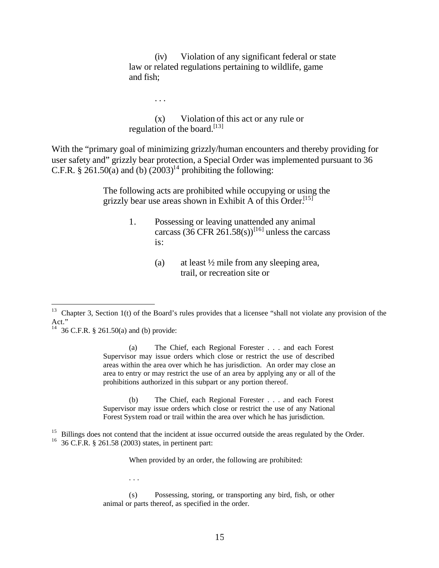(iv) Violation of any significant federal or state law or related regulations pertaining to wildlife, game and fish;

(x) Violation of this act or any rule or regulation of the board.<sup>[13]</sup>

. . .

With the "primary goal of minimizing grizzly/human encounters and thereby providing for user safety and" grizzly bear protection, a Special Order was implemented pursuant to 36 C.F.R. § 261.50(a) and (b)  $(2003)^{14}$  prohibiting the following:

> The following acts are prohibited while occupying or using the grizzly bear use areas shown in Exhibit A of this Order.<sup>[15]</sup>

- 1. Possessing or leaving unattended any animal carcass  $(36 \text{ CFR } 261.58 \text{(s)})^{[16]}$  unless the carcass is:
	- (a) at least ½ mile from any sleeping area, trail, or recreation site or

<sup>14</sup> 36 C.F.R. § 261.50(a) and (b) provide:

l

(a) The Chief, each Regional Forester . . . and each Forest Supervisor may issue orders which close or restrict the use of described areas within the area over which he has jurisdiction. An order may close an area to entry or may restrict the use of an area by applying any or all of the prohibitions authorized in this subpart or any portion thereof.

(b) The Chief, each Regional Forester . . . and each Forest Supervisor may issue orders which close or restrict the use of any National Forest System road or trail within the area over which he has jurisdiction.

When provided by an order, the following are prohibited:

. . .

<sup>&</sup>lt;sup>13</sup> Chapter 3, Section 1(t) of the Board's rules provides that a licensee "shall not violate any provision of the Act."

<sup>&</sup>lt;sup>15</sup> Billings does not contend that the incident at issue occurred outside the areas regulated by the Order. <sup>16</sup> 36 C.F.R. § 261.58 (2003) states, in pertinent part:

<sup>(</sup>s) Possessing, storing, or transporting any bird, fish, or other animal or parts thereof, as specified in the order.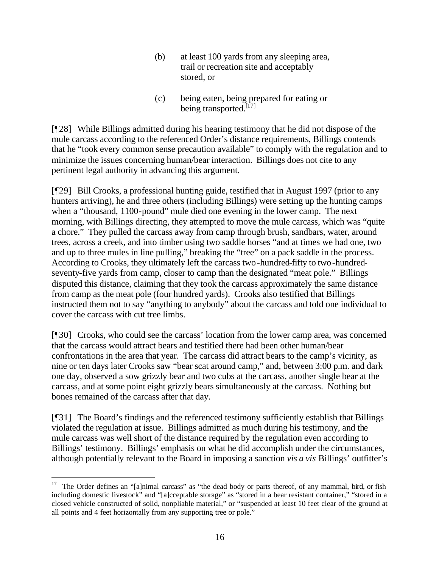- (b) at least 100 yards from any sleeping area, trail or recreation site and acceptably stored, or
- (c) being eaten, being prepared for eating or being transported.<sup>[17]</sup>

[¶28] While Billings admitted during his hearing testimony that he did not dispose of the mule carcass according to the referenced Order's distance requirements, Billings contends that he "took every common sense precaution available" to comply with the regulation and to minimize the issues concerning human/bear interaction. Billings does not cite to any pertinent legal authority in advancing this argument.

[¶29] Bill Crooks, a professional hunting guide, testified that in August 1997 (prior to any hunters arriving), he and three others (including Billings) were setting up the hunting camps when a "thousand, 1100-pound" mule died one evening in the lower camp. The next morning, with Billings directing, they attempted to move the mule carcass, which was "quite a chore." They pulled the carcass away from camp through brush, sandbars, water, around trees, across a creek, and into timber using two saddle horses "and at times we had one, two and up to three mules in line pulling," breaking the "tree" on a pack saddle in the process. According to Crooks, they ultimately left the carcass two-hundred-fifty to two-hundredseventy-five yards from camp, closer to camp than the designated "meat pole." Billings disputed this distance, claiming that they took the carcass approximately the same distance from camp as the meat pole (four hundred yards). Crooks also testified that Billings instructed them not to say "anything to anybody" about the carcass and told one individual to cover the carcass with cut tree limbs.

[¶30] Crooks, who could see the carcass' location from the lower camp area, was concerned that the carcass would attract bears and testified there had been other human/bear confrontations in the area that year. The carcass did attract bears to the camp's vicinity, as nine or ten days later Crooks saw "bear scat around camp," and, between 3:00 p.m. and dark one day, observed a sow grizzly bear and two cubs at the carcass, another single bear at the carcass, and at some point eight grizzly bears simultaneously at the carcass. Nothing but bones remained of the carcass after that day.

[¶31] The Board's findings and the referenced testimony sufficiently establish that Billings violated the regulation at issue. Billings admitted as much during his testimony, and the mule carcass was well short of the distance required by the regulation even according to Billings' testimony. Billings' emphasis on what he did accomplish under the circumstances, although potentially relevant to the Board in imposing a sanction *vis a vis* Billings' outfitter's

<sup>17</sup> The Order defines an "[a]nimal carcass" as "the dead body or parts thereof, of any mammal, bird, or fish including domestic livestock" and "[a]cceptable storage" as "stored in a bear resistant container," "stored in a closed vehicle constructed of solid, nonpliable material," or "suspended at least 10 feet clear of the ground at all points and 4 feet horizontally from any supporting tree or pole."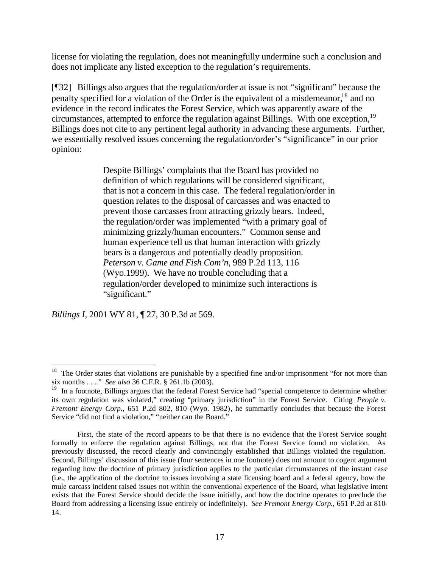license for violating the regulation, does not meaningfully undermine such a conclusion and does not implicate any listed exception to the regulation's requirements.

[¶32] Billings also argues that the regulation/order at issue is not "significant" because the penalty specified for a violation of the Order is the equivalent of a misdemeanor,<sup>18</sup> and no evidence in the record indicates the Forest Service, which was apparently aware of the circumstances, attempted to enforce the regulation against Billings. With one exception,  $19$ Billings does not cite to any pertinent legal authority in advancing these arguments. Further, we essentially resolved issues concerning the regulation/order's "significance" in our prior opinion:

> Despite Billings' complaints that the Board has provided no definition of which regulations will be considered significant, that is not a concern in this case. The federal regulation/order in question relates to the disposal of carcasses and was enacted to prevent those carcasses from attracting grizzly bears. Indeed, the regulation/order was implemented "with a primary goal of minimizing grizzly/human encounters." Common sense and human experience tell us that human interaction with grizzly bears is a dangerous and potentially deadly proposition. *Peterson v. Game and Fish Com'n*, 989 P.2d 113, 116 (Wyo.1999). We have no trouble concluding that a regulation/order developed to minimize such interactions is "significant."

*Billings I*, 2001 WY 81, ¶ 27, 30 P.3d at 569.

<sup>&</sup>lt;sup>18</sup> The Order states that violations are punishable by a specified fine and/or imprisonment "for not more than six months . . .." *See also* 36 C.F.R. § 261.1b (2003).

<sup>&</sup>lt;sup>19</sup> In a footnote, Billings argues that the federal Forest Service had "special competence to determine whether its own regulation was violated," creating "primary jurisdiction" in the Forest Service. Citing *People v. Fremont Energy Corp.*, 651 P.2d 802, 810 (Wyo. 1982), he summarily concludes that because the Forest Service "did not find a violation," "neither can the Board."

First, the state of the record appears to be that there is no evidence that the Forest Service sought formally to enforce the regulation against Billings, not that the Forest Service found no violation. As previously discussed, the record clearly and convincingly established that Billings violated the regulation. Second, Billings' discussion of this issue (four sentences in one footnote) does not amount to cogent argument regarding how the doctrine of primary jurisdiction applies to the particular circumstances of the instant case (i.e., the application of the doctrine to issues involving a state licensing board and a federal agency, how the mule carcass incident raised issues not within the conventional experience of the Board, what legislative intent exists that the Forest Service should decide the issue initially, and how the doctrine operates to preclude the Board from addressing a licensing issue entirely or indefinitely). *See Fremont Energy Corp.*, 651 P.2d at 810- 14.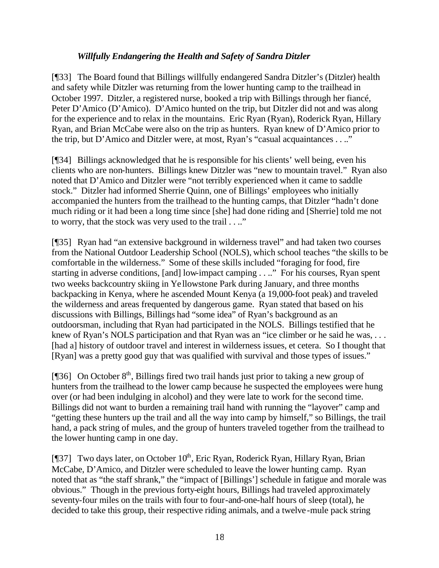### *Willfully Endangering the Health and Safety of Sandra Ditzler*

[¶33] The Board found that Billings willfully endangered Sandra Ditzler's (Ditzler) health and safety while Ditzler was returning from the lower hunting camp to the trailhead in October 1997. Ditzler, a registered nurse, booked a trip with Billings through her fiancé, Peter D'Amico (D'Amico). D'Amico hunted on the trip, but Ditzler did not and was along for the experience and to relax in the mountains. Eric Ryan (Ryan), Roderick Ryan, Hillary Ryan, and Brian McCabe were also on the trip as hunters. Ryan knew of D'Amico prior to the trip, but D'Amico and Ditzler were, at most, Ryan's "casual acquaintances . . .."

[¶34] Billings acknowledged that he is responsible for his clients' well being, even his clients who are non-hunters. Billings knew Ditzler was "new to mountain travel." Ryan also noted that D'Amico and Ditzler were "not terribly experienced when it came to saddle stock." Ditzler had informed Sherrie Quinn, one of Billings' employees who initially accompanied the hunters from the trailhead to the hunting camps, that Ditzler "hadn't done much riding or it had been a long time since [she] had done riding and [Sherrie] told me not to worry, that the stock was very used to the trail . . .."

[¶35] Ryan had "an extensive background in wilderness travel" and had taken two courses from the National Outdoor Leadership School (NOLS), which school teaches "the skills to be comfortable in the wilderness." Some of these skills included "foraging for food, fire starting in adverse conditions, [and] low-impact camping . . .." For his courses, Ryan spent two weeks backcountry skiing in Yellowstone Park during January, and three months backpacking in Kenya, where he ascended Mount Kenya (a 19,000-foot peak) and traveled the wilderness and areas frequented by dangerous game. Ryan stated that based on his discussions with Billings, Billings had "some idea" of Ryan's background as an outdoorsman, including that Ryan had participated in the NOLS. Billings testified that he knew of Ryan's NOLS participation and that Ryan was an "ice climber or he said he was, ... [had a] history of outdoor travel and interest in wilderness issues, et cetera. So I thought that [Ryan] was a pretty good guy that was qualified with survival and those types of issues."

[ $[$ ]36] On October 8<sup>th</sup>, Billings fired two trail hands just prior to taking a new group of hunters from the trailhead to the lower camp because he suspected the employees were hung over (or had been indulging in alcohol) and they were late to work for the second time. Billings did not want to burden a remaining trail hand with running the "layover" camp and "getting these hunters up the trail and all the way into camp by himself," so Billings, the trail hand, a pack string of mules, and the group of hunters traveled together from the trailhead to the lower hunting camp in one day.

[ $[$ ]37] Two days later, on October 10<sup>th</sup>, Eric Ryan, Roderick Ryan, Hillary Ryan, Brian McCabe, D'Amico, and Ditzler were scheduled to leave the lower hunting camp. Ryan noted that as "the staff shrank," the "impact of [Billings'] schedule in fatigue and morale was obvious." Though in the previous forty-eight hours, Billings had traveled approximately seventy-four miles on the trails with four to four-and-one-half hours of sleep (total), he decided to take this group, their respective riding animals, and a twelve-mule pack string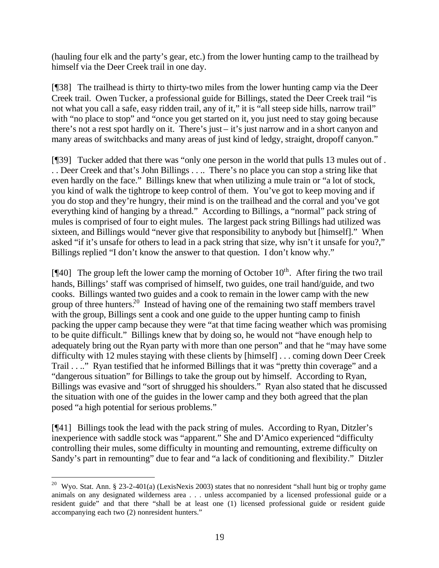(hauling four elk and the party's gear, etc.) from the lower hunting camp to the trailhead by himself via the Deer Creek trail in one day.

[¶38] The trailhead is thirty to thirty-two miles from the lower hunting camp via the Deer Creek trail. Owen Tucker, a professional guide for Billings, stated the Deer Creek trail "is not what you call a safe, easy ridden trail, any of it," it is "all steep side hills, narrow trail" with "no place to stop" and "once you get started on it, you just need to stay going because there's not a rest spot hardly on it. There's just – it's just narrow and in a short canyon and many areas of switchbacks and many areas of just kind of ledgy, straight, dropoff canyon."

[¶39] Tucker added that there was "only one person in the world that pulls 13 mules out of . . . Deer Creek and that's John Billings . . .. There's no place you can stop a string like that even hardly on the face." Billings knew that when utilizing a mule train or "a lot of stock, you kind of walk the tightrope to keep control of them. You've got to keep moving and if you do stop and they're hungry, their mind is on the trailhead and the corral and you've got everything kind of hanging by a thread." According to Billings, a "normal" pack string of mules is comprised of four to eight mules. The largest pack string Billings had utilized was sixteen, and Billings would "never give that responsibility to anybody but [himself]." When asked "if it's unsafe for others to lead in a pack string that size, why isn't it unsafe for you?," Billings replied "I don't know the answer to that question. I don't know why."

[ $[$ 40] The group left the lower camp the morning of October  $10<sup>th</sup>$ . After firing the two trail hands, Billings' staff was comprised of himself, two guides, one trail hand/guide, and two cooks. Billings wanted two guides and a cook to remain in the lower camp with the new group of three hunters.<sup>20</sup> Instead of having one of the remaining two staff members travel with the group, Billings sent a cook and one guide to the upper hunting camp to finish packing the upper camp because they were "at that time facing weather which was promising to be quite difficult." Billings knew that by doing so, he would not "have enough help to adequately bring out the Ryan party with more than one person" and that he "may have some difficulty with 12 mules staying with these clients by [himself] . . . coming down Deer Creek Trail . . .." Ryan testified that he informed Billings that it was "pretty thin coverage" and a "dangerous situation" for Billings to take the group out by himself. According to Ryan, Billings was evasive and "sort of shrugged his shoulders." Ryan also stated that he discussed the situation with one of the guides in the lower camp and they both agreed that the plan posed "a high potential for serious problems."

[¶41] Billings took the lead with the pack string of mules. According to Ryan, Ditzler's inexperience with saddle stock was "apparent." She and D'Amico experienced "difficulty controlling their mules, some difficulty in mounting and remounting, extreme difficulty on Sandy's part in remounting" due to fear and "a lack of conditioning and flexibility." Ditzler

<sup>&</sup>lt;sup>20</sup> Wyo. Stat. Ann. § 23-2-401(a) (LexisNexis 2003) states that no nonresident "shall hunt big or trophy game animals on any designated wilderness area . . . unless accompanied by a licensed professional guide or a resident guide" and that there "shall be at least one (1) licensed professional guide or resident guide accompanying each two (2) nonresident hunters."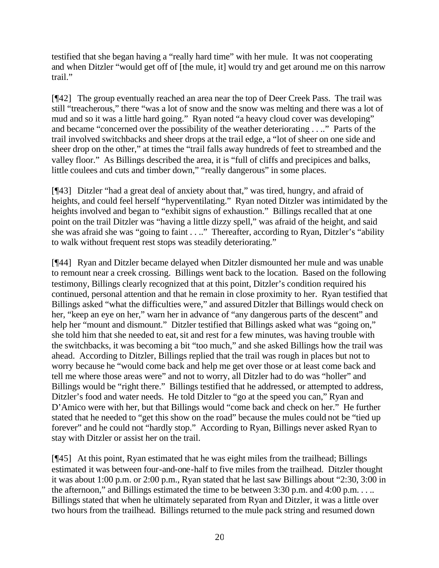testified that she began having a "really hard time" with her mule. It was not cooperating and when Ditzler "would get off of [the mule, it] would try and get around me on this narrow trail."

[¶42] The group eventually reached an area near the top of Deer Creek Pass. The trail was still "treacherous," there "was a lot of snow and the snow was melting and there was a lot of mud and so it was a little hard going." Ryan noted "a heavy cloud cover was developing" and became "concerned over the possibility of the weather deteriorating . . .." Parts of the trail involved switchbacks and sheer drops at the trail edge, a "lot of sheer on one side and sheer drop on the other," at times the "trail falls away hundreds of feet to streambed and the valley floor." As Billings described the area, it is "full of cliffs and precipices and balks, little coulees and cuts and timber down," "really dangerous" in some places.

[¶43] Ditzler "had a great deal of anxiety about that," was tired, hungry, and afraid of heights, and could feel herself "hyperventilating." Ryan noted Ditzler was intimidated by the heights involved and began to "exhibit signs of exhaustion." Billings recalled that at one point on the trail Ditzler was "having a little dizzy spell," was afraid of the height, and said she was afraid she was "going to faint . . .." Thereafter, according to Ryan, Ditzler's "ability to walk without frequent rest stops was steadily deteriorating."

[¶44] Ryan and Ditzler became delayed when Ditzler dismounted her mule and was unable to remount near a creek crossing. Billings went back to the location. Based on the following testimony, Billings clearly recognized that at this point, Ditzler's condition required his continued, personal attention and that he remain in close proximity to her. Ryan testified that Billings asked "what the difficulties were," and assured Ditzler that Billings would check on her, "keep an eye on her," warn her in advance of "any dangerous parts of the descent" and help her "mount and dismount." Ditzler testified that Billings asked what was "going on," she told him that she needed to eat, sit and rest for a few minutes, was having trouble with the switchbacks, it was becoming a bit "too much," and she asked Billings how the trail was ahead. According to Ditzler, Billings replied that the trail was rough in places but not to worry because he "would come back and help me get over those or at least come back and tell me where those areas were" and not to worry, all Ditzler had to do was "holler" and Billings would be "right there." Billings testified that he addressed, or attempted to address, Ditzler's food and water needs. He told Ditzler to "go at the speed you can," Ryan and D'Amico were with her, but that Billings would "come back and check on her." He further stated that he needed to "get this show on the road" because the mules could not be "tied up forever" and he could not "hardly stop." According to Ryan, Billings never asked Ryan to stay with Ditzler or assist her on the trail.

[¶45] At this point, Ryan estimated that he was eight miles from the trailhead; Billings estimated it was between four-and-one-half to five miles from the trailhead. Ditzler thought it was about 1:00 p.m. or 2:00 p.m., Ryan stated that he last saw Billings about "2:30, 3:00 in the afternoon," and Billings estimated the time to be between 3:30 p.m. and 4:00 p.m. . . .. Billings stated that when he ultimately separated from Ryan and Ditzler, it was a little over two hours from the trailhead. Billings returned to the mule pack string and resumed down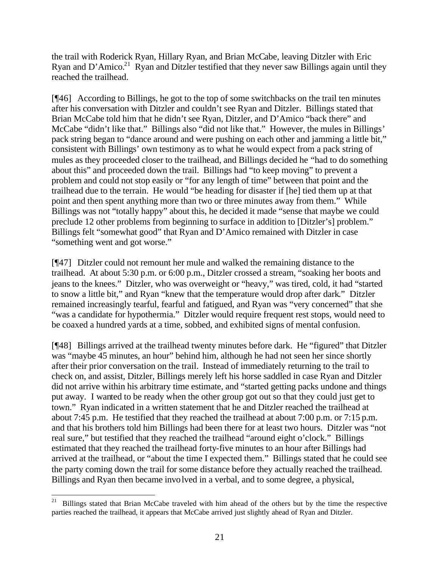the trail with Roderick Ryan, Hillary Ryan, and Brian McCabe, leaving Ditzler with Eric Ryan and D'Amico.<sup>21</sup> Ryan and Ditzler testified that they never saw Billings again until they reached the trailhead.

[¶46] According to Billings, he got to the top of some switchbacks on the trail ten minutes after his conversation with Ditzler and couldn't see Ryan and Ditzler. Billings stated that Brian McCabe told him that he didn't see Ryan, Ditzler, and D'Amico "back there" and McCabe "didn't like that." Billings also "did not like that." However, the mules in Billings' pack string began to "dance around and were pushing on each other and jamming a little bit," consistent with Billings' own testimony as to what he would expect from a pack string of mules as they proceeded closer to the trailhead, and Billings decided he "had to do something about this" and proceeded down the trail. Billings had "to keep moving" to prevent a problem and could not stop easily or "for any length of time" between that point and the trailhead due to the terrain. He would "be heading for disaster if [he] tied them up at that point and then spent anything more than two or three minutes away from them." While Billings was not "totally happy" about this, he decided it made "sense that maybe we could preclude 12 other problems from beginning to surface in addition to [Ditzler's] problem." Billings felt "somewhat good" that Ryan and D'Amico remained with Ditzler in case "something went and got worse."

[¶47] Ditzler could not remount her mule and walked the remaining distance to the trailhead. At about 5:30 p.m. or 6:00 p.m., Ditzler crossed a stream, "soaking her boots and jeans to the knees." Ditzler, who was overweight or "heavy," was tired, cold, it had "started to snow a little bit," and Ryan "knew that the temperature would drop after dark." Ditzler remained increasingly tearful, fearful and fatigued, and Ryan was "very concerned" that she "was a candidate for hypothermia." Ditzler would require frequent rest stops, would need to be coaxed a hundred yards at a time, sobbed, and exhibited signs of mental confusion.

[¶48] Billings arrived at the trailhead twenty minutes before dark. He "figured" that Ditzler was "maybe 45 minutes, an hour" behind him, although he had not seen her since shortly after their prior conversation on the trail. Instead of immediately returning to the trail to check on, and assist, Ditzler, Billings merely left his horse saddled in case Ryan and Ditzler did not arrive within his arbitrary time estimate, and "started getting packs undone and things put away. I wanted to be ready when the other group got out so that they could just get to town." Ryan indicated in a written statement that he and Ditzler reached the trailhead at about 7:45 p.m. He testified that they reached the trailhead at about 7:00 p.m. or 7:15 p.m. and that his brothers told him Billings had been there for at least two hours. Ditzler was "not real sure," but testified that they reached the trailhead "around eight o'clock." Billings estimated that they reached the trailhead forty-five minutes to an hour after Billings had arrived at the trailhead, or "about the time I expected them." Billings stated that he could see the party coming down the trail for some distance before they actually reached the trailhead. Billings and Ryan then became involved in a verbal, and to some degree, a physical,

 $2\sqrt{1}$ <sup>21</sup> Billings stated that Brian McCabe traveled with him ahead of the others but by the time the respective parties reached the trailhead, it appears that McCabe arrived just slightly ahead of Ryan and Ditzler.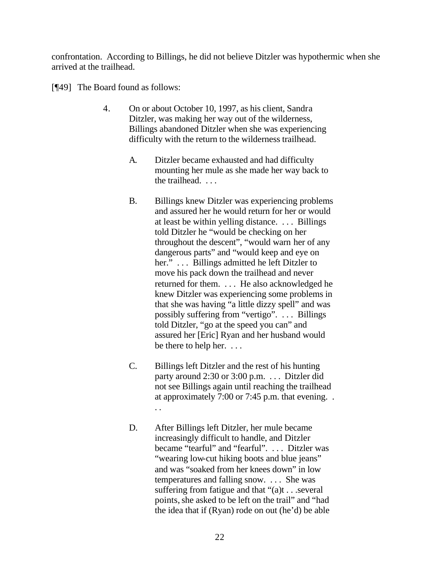confrontation. According to Billings, he did not believe Ditzler was hypothermic when she arrived at the trailhead.

[¶49] The Board found as follows:

- 4. On or about October 10, 1997, as his client, Sandra Ditzler, was making her way out of the wilderness, Billings abandoned Ditzler when she was experiencing difficulty with the return to the wilderness trailhead.
	- A. Ditzler became exhausted and had difficulty mounting her mule as she made her way back to the trailhead. . . .
	- B. Billings knew Ditzler was experiencing problems and assured her he would return for her or would at least be within yelling distance. . . . Billings told Ditzler he "would be checking on her throughout the descent", "would warn her of any dangerous parts" and "would keep and eye on her." . . . Billings admitted he left Ditzler to move his pack down the trailhead and never returned for them. . . . He also acknowledged he knew Ditzler was experiencing some problems in that she was having "a little dizzy spell" and was possibly suffering from "vertigo". . . . Billings told Ditzler, "go at the speed you can" and assured her [Eric] Ryan and her husband would be there to help her. . . .
	- C. Billings left Ditzler and the rest of his hunting party around 2:30 or 3:00 p.m. . . . Ditzler did not see Billings again until reaching the trailhead at approximately 7:00 or 7:45 p.m. that evening. . . .
	- D. After Billings left Ditzler, her mule became increasingly difficult to handle, and Ditzler became "tearful" and "fearful". ... Ditzler was "wearing low-cut hiking boots and blue jeans" and was "soaked from her knees down" in low temperatures and falling snow. . . . She was suffering from fatigue and that "(a)t . . .several points, she asked to be left on the trail" and "had the idea that if (Ryan) rode on out (he'd) be able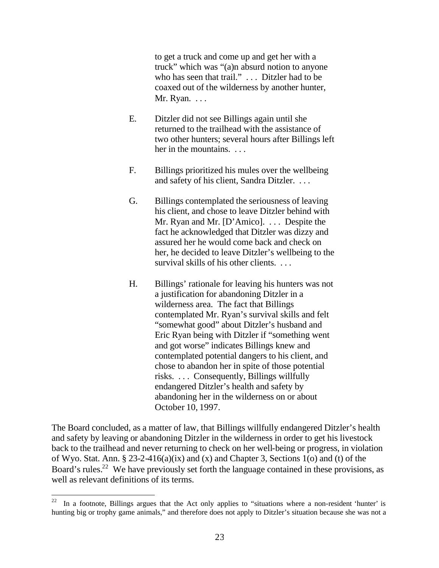to get a truck and come up and get her with a truck" which was "(a)n absurd notion to anyone who has seen that trail." . . . Ditzler had to be coaxed out of the wilderness by another hunter, Mr. Ryan. . . .

- E. Ditzler did not see Billings again until she returned to the trailhead with the assistance of two other hunters; several hours after Billings left her in the mountains. ...
- F. Billings prioritized his mules over the wellbeing and safety of his client, Sandra Ditzler. . . .
- G. Billings contemplated the seriousness of leaving his client, and chose to leave Ditzler behind with Mr. Ryan and Mr. [D'Amico]. . . . Despite the fact he acknowledged that Ditzler was dizzy and assured her he would come back and check on her, he decided to leave Ditzler's wellbeing to the survival skills of his other clients. ...
- H. Billings' rationale for leaving his hunters was not a justification for abandoning Ditzler in a wilderness area. The fact that Billings contemplated Mr. Ryan's survival skills and felt "somewhat good" about Ditzler's husband and Eric Ryan being with Ditzler if "something went and got worse" indicates Billings knew and contemplated potential dangers to his client, and chose to abandon her in spite of those potential risks. . . . Consequently, Billings willfully endangered Ditzler's health and safety by abandoning her in the wilderness on or about October 10, 1997.

The Board concluded, as a matter of law, that Billings willfully endangered Ditzler's health and safety by leaving or abandoning Ditzler in the wilderness in order to get his livestock back to the trailhead and never returning to check on her well-being or progress, in violation of Wyo. Stat. Ann. § 23-2-416(a)(ix) and (x) and Chapter 3, Sections 1(o) and (t) of the Board's rules.<sup>22</sup> We have previously set forth the language contained in these provisions, as well as relevant definitions of its terms.

 $2\sqrt{2}$ In a footnote, Billings argues that the Act only applies to "situations where a non-resident 'hunter' is hunting big or trophy game animals," and therefore does not apply to Ditzler's situation because she was not a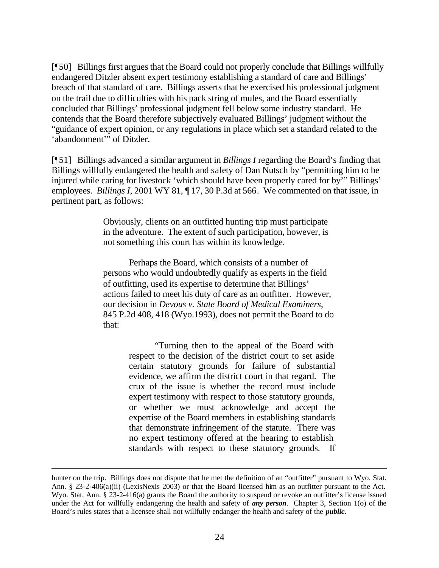[¶50] Billings first argues that the Board could not properly conclude that Billings willfully endangered Ditzler absent expert testimony establishing a standard of care and Billings' breach of that standard of care. Billings asserts that he exercised his professional judgment on the trail due to difficulties with his pack string of mules, and the Board essentially concluded that Billings' professional judgment fell below some industry standard. He contends that the Board therefore subjectively evaluated Billings' judgment without the "guidance of expert opinion, or any regulations in place which set a standard related to the 'abandonment'" of Ditzler.

[¶51] Billings advanced a similar argument in *Billings I* regarding the Board's finding that Billings willfully endangered the health and safety of Dan Nutsch by "permitting him to be injured while caring for livestock 'which should have been properly cared for by'" Billings' employees. *Billings I*, 2001 WY 81, ¶ 17, 30 P.3d at 566. We commented on that issue, in pertinent part, as follows:

> Obviously, clients on an outfitted hunting trip must participate in the adventure. The extent of such participation, however, is not something this court has within its knowledge.

Perhaps the Board, which consists of a number of persons who would undoubtedly qualify as experts in the field of outfitting, used its expertise to determine that Billings' actions failed to meet his duty of care as an outfitter. However, our decision in *Devous v. State Board of Medical Examiners*, 845 P.2d 408, 418 (Wyo.1993), does not permit the Board to do that:

> "Turning then to the appeal of the Board with respect to the decision of the district court to set aside certain statutory grounds for failure of substantial evidence, we affirm the district court in that regard. The crux of the issue is whether the record must include expert testimony with respect to those statutory grounds, or whether we must acknowledge and accept the expertise of the Board members in establishing standards that demonstrate infringement of the statute. There was no expert testimony offered at the hearing to establish standards with respect to these statutory grounds. If

hunter on the trip. Billings does not dispute that he met the definition of an "outfitter" pursuant to Wyo. Stat. Ann. § 23-2-406(a)(ii) (LexisNexis 2003) or that the Board licensed him as an outfitter pursuant to the Act. Wyo. Stat. Ann. § 23-2-416(a) grants the Board the authority to suspend or revoke an outfitter's license issued under the Act for willfully endangering the health and safety of *any person*. Chapter 3, Section 1(o) of the Board's rules states that a licensee shall not willfully endanger the health and safety of the *public*.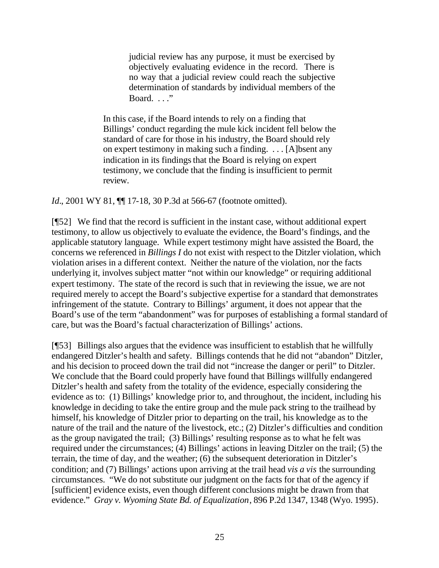judicial review has any purpose, it must be exercised by objectively evaluating evidence in the record. There is no way that a judicial review could reach the subjective determination of standards by individual members of the Board. . . ."

In this case, if the Board intends to rely on a finding that Billings' conduct regarding the mule kick incident fell below the standard of care for those in his industry, the Board should rely on expert testimony in making such a finding. . . . [A]bsent any indication in its findings that the Board is relying on expert testimony, we conclude that the finding is insufficient to permit review.

*Id.*, 2001 WY 81,  $\P$  17-18, 30 P.3d at 566-67 (footnote omitted).

[¶52] We find that the record is sufficient in the instant case, without additional expert testimony, to allow us objectively to evaluate the evidence, the Board's findings, and the applicable statutory language. While expert testimony might have assisted the Board, the concerns we referenced in *Billings I* do not exist with respect to the Ditzler violation, which violation arises in a different context. Neither the nature of the violation, nor the facts underlying it, involves subject matter "not within our knowledge" or requiring additional expert testimony. The state of the record is such that in reviewing the issue, we are not required merely to accept the Board's subjective expertise for a standard that demonstrates infringement of the statute. Contrary to Billings' argument, it does not appear that the Board's use of the term "abandonment" was for purposes of establishing a formal standard of care, but was the Board's factual characterization of Billings' actions.

[¶53] Billings also argues that the evidence was insufficient to establish that he willfully endangered Ditzler's health and safety. Billings contends that he did not "abandon" Ditzler, and his decision to proceed down the trail did not "increase the danger or peril" to Ditzler. We conclude that the Board could properly have found that Billings willfully endangered Ditzler's health and safety from the totality of the evidence, especially considering the evidence as to: (1) Billings' knowledge prior to, and throughout, the incident, including his knowledge in deciding to take the entire group and the mule pack string to the trailhead by himself, his knowledge of Ditzler prior to departing on the trail, his knowledge as to the nature of the trail and the nature of the livestock, etc.; (2) Ditzler's difficulties and condition as the group navigated the trail; (3) Billings' resulting response as to what he felt was required under the circumstances; (4) Billings' actions in leaving Ditzler on the trail; (5) the terrain, the time of day, and the weather; (6) the subsequent deterioration in Ditzler's condition; and (7) Billings' actions upon arriving at the trail head *vis a vis* the surrounding circumstances. "We do not substitute our judgment on the facts for that of the agency if [sufficient] evidence exists, even though different conclusions might be drawn from that evidence." *Gray v. Wyoming State Bd. of Equalization*, 896 P.2d 1347, 1348 (Wyo. 1995).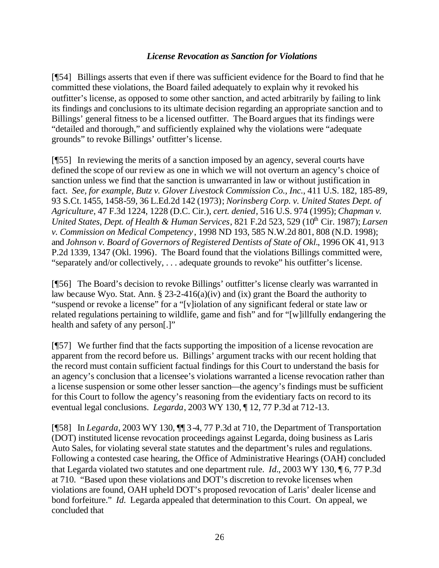### *License Revocation as Sanction for Violations*

[¶54] Billings asserts that even if there was sufficient evidence for the Board to find that he committed these violations, the Board failed adequately to explain why it revoked his outfitter's license, as opposed to some other sanction, and acted arbitrarily by failing to link its findings and conclusions to its ultimate decision regarding an appropriate sanction and to Billings' general fitness to be a licensed outfitter. The Board argues that its findings were "detailed and thorough," and sufficiently explained why the violations were "adequate grounds" to revoke Billings' outfitter's license.

[¶55] In reviewing the merits of a sanction imposed by an agency, several courts have defined the scope of our review as one in which we will not overturn an agency's choice of sanction unless we find that the sanction is unwarranted in law or without justification in fact. *See, for example, Butz v. Glover Livestock Commission Co., Inc.*, 411 U.S. 182, 185-89, 93 S.Ct. 1455, 1458-59, 36 L.Ed.2d 142 (1973); *Norinsberg Corp. v. United States Dept. of Agriculture*, 47 F.3d 1224, 1228 (D.C. Cir.), *cert. denied*, 516 U.S. 974 (1995); *Chapman v.*  United States, Dept. of Health & Human Services, 821 F.2d 523, 529 (10<sup>th</sup> Cir. 1987); *Larsen v. Commission on Medical Competency*, 1998 ND 193, 585 N.W.2d 801, 808 (N.D. 1998); and *Johnson v. Board of Governors of Registered Dentists of State of Okl.*, 1996 OK 41, 913 P.2d 1339, 1347 (Okl. 1996). The Board found that the violations Billings committed were, "separately and/or collectively, . . . adequate grounds to revoke" his outfitter's license.

[¶56] The Board's decision to revoke Billings' outfitter's license clearly was warranted in law because Wyo. Stat. Ann.  $\S 23-2-416(a)(iv)$  and (ix) grant the Board the authority to "suspend or revoke a license" for a "[v]iolation of any significant federal or state law or related regulations pertaining to wildlife, game and fish" and for "[w]illfully endangering the health and safety of any person[.]"

[¶57] We further find that the facts supporting the imposition of a license revocation are apparent from the record before us. Billings' argument tracks with our recent holding that the record must contain sufficient factual findings for this Court to understand the basis for an agency's conclusion that a licensee's violations warranted a license revocation rather than a license suspension or some other lesser sanction—the agency's findings must be sufficient for this Court to follow the agency's reasoning from the evidentiary facts on record to its eventual legal conclusions. *Legarda*, 2003 WY 130, ¶ 12, 77 P.3d at 712-13.

[¶58] In *Legarda*, 2003 WY 130, ¶¶ 3-4, 77 P.3d at 710, the Department of Transportation (DOT) instituted license revocation proceedings against Legarda, doing business as Laris Auto Sales, for violating several state statutes and the department's rules and regulations. Following a contested case hearing, the Office of Administrative Hearings (OAH) concluded that Legarda violated two statutes and one department rule. *Id.*, 2003 WY 130, ¶ 6, 77 P.3d at 710. "Based upon these violations and DOT's discretion to revoke licenses when violations are found, OAH upheld DOT's proposed revocation of Laris' dealer license and bond forfeiture." *Id.* Legarda appealed that determination to this Court. On appeal, we concluded that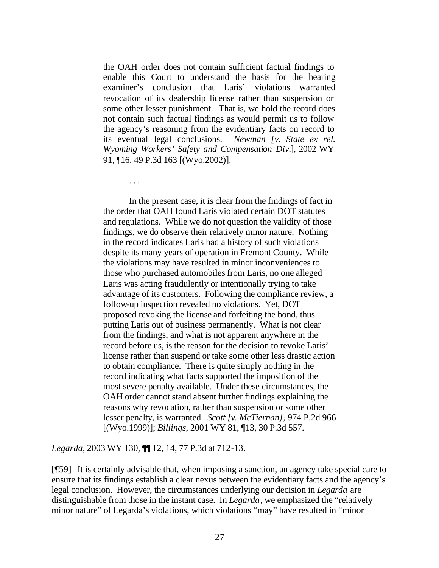the OAH order does not contain sufficient factual findings to enable this Court to understand the basis for the hearing examiner's conclusion that Laris' violations warranted revocation of its dealership license rather than suspension or some other lesser punishment. That is, we hold the record does not contain such factual findings as would permit us to follow the agency's reasoning from the evidentiary facts on record to its eventual legal conclusions. *Newman [v. State ex rel. Wyoming Workers' Safety and Compensation Div.*], 2002 WY 91, ¶16, 49 P.3d 163 [(Wyo.2002)].

In the present case, it is clear from the findings of fact in the order that OAH found Laris violated certain DOT statutes and regulations. While we do not question the validity of those findings, we do observe their relatively minor nature. Nothing in the record indicates Laris had a history of such violations despite its many years of operation in Fremont County. While the violations may have resulted in minor inconveniences to those who purchased automobiles from Laris, no one alleged Laris was acting fraudulently or intentionally trying to take advantage of its customers. Following the compliance review, a follow-up inspection revealed no violations. Yet, DOT proposed revoking the license and forfeiting the bond, thus putting Laris out of business permanently. What is not clear from the findings, and what is not apparent anywhere in the record before us, is the reason for the decision to revoke Laris' license rather than suspend or take some other less drastic action to obtain compliance. There is quite simply nothing in the record indicating what facts supported the imposition of the most severe penalty available. Under these circumstances, the OAH order cannot stand absent further findings explaining the reasons why revocation, rather than suspension or some other lesser penalty, is warranted. *Scott [v. McTiernan]*, 974 P.2d 966 [(Wyo.1999)]; *Billings*, 2001 WY 81, ¶13, 30 P.3d 557.

*Legarda*, 2003 WY 130, ¶¶ 12, 14, 77 P.3d at 712-13.

. . .

[¶59] It is certainly advisable that, when imposing a sanction, an agency take special care to ensure that its findings establish a clear nexus between the evidentiary facts and the agency's legal conclusion. However, the circumstances underlying our decision in *Legarda* are distinguishable from those in the instant case. In *Legarda*, we emphasized the "relatively minor nature" of Legarda's violations, which violations "may" have resulted in "minor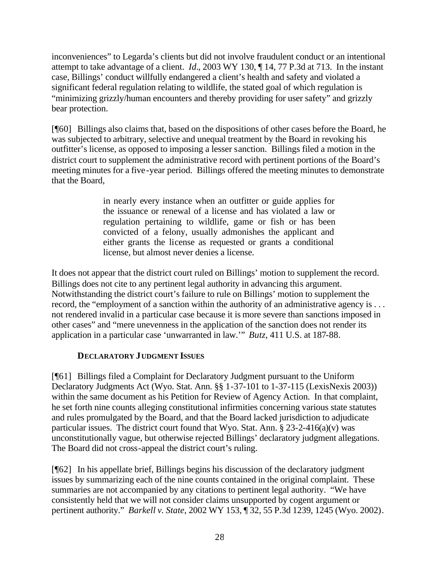inconveniences" to Legarda's clients but did not involve fraudulent conduct or an intentional attempt to take advantage of a client. *Id.*, 2003 WY 130, ¶ 14, 77 P.3d at 713. In the instant case, Billings' conduct willfully endangered a client's health and safety and violated a significant federal regulation relating to wildlife, the stated goal of which regulation is "minimizing grizzly/human encounters and thereby providing for user safety" and grizzly bear protection.

[¶60] Billings also claims that, based on the dispositions of other cases before the Board, he was subjected to arbitrary, selective and unequal treatment by the Board in revoking his outfitter's license, as opposed to imposing a lesser sanction. Billings filed a motion in the district court to supplement the administrative record with pertinent portions of the Board's meeting minutes for a five-year period. Billings offered the meeting minutes to demonstrate that the Board,

> in nearly every instance when an outfitter or guide applies for the issuance or renewal of a license and has violated a law or regulation pertaining to wildlife, game or fish or has been convicted of a felony, usually admonishes the applicant and either grants the license as requested or grants a conditional license, but almost never denies a license.

It does not appear that the district court ruled on Billings' motion to supplement the record. Billings does not cite to any pertinent legal authority in advancing this argument. Notwithstanding the district court's failure to rule on Billings' motion to supplement the record, the "employment of a sanction within the authority of an administrative agency is . . . not rendered invalid in a particular case because it is more severe than sanctions imposed in other cases" and "mere unevenness in the application of the sanction does not render its application in a particular case 'unwarranted in law.'" *Butz*, 411 U.S. at 187-88.

### **DECLARATORY JUDGMENT ISSUES**

[¶61] Billings filed a Complaint for Declaratory Judgment pursuant to the Uniform Declaratory Judgments Act (Wyo. Stat. Ann. §§ 1-37-101 to 1-37-115 (LexisNexis 2003)) within the same document as his Petition for Review of Agency Action. In that complaint, he set forth nine counts alleging constitutional infirmities concerning various state statutes and rules promulgated by the Board, and that the Board lacked jurisdiction to adjudicate particular issues. The district court found that Wyo. Stat. Ann. § 23-2-416(a)(v) was unconstitutionally vague, but otherwise rejected Billings' declaratory judgment allegations. The Board did not cross-appeal the district court's ruling.

[¶62] In his appellate brief, Billings begins his discussion of the declaratory judgment issues by summarizing each of the nine counts contained in the original complaint. These summaries are not accompanied by any citations to pertinent legal authority. "We have consistently held that we will not consider claims unsupported by cogent argument or pertinent authority." *Barkell v. State*, 2002 WY 153, ¶ 32, 55 P.3d 1239, 1245 (Wyo. 2002).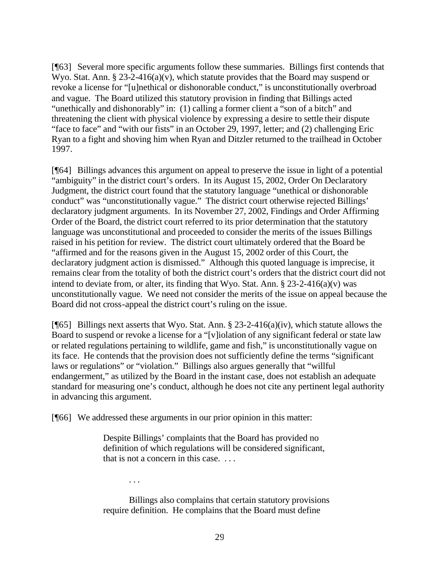[¶63] Several more specific arguments follow these summaries. Billings first contends that Wyo. Stat. Ann. § 23-2-416(a)(v), which statute provides that the Board may suspend or revoke a license for "[u]nethical or dishonorable conduct," is unconstitutionally overbroad and vague. The Board utilized this statutory provision in finding that Billings acted "unethically and dishonorably" in: (1) calling a former client a "son of a bitch" and threatening the client with physical violence by expressing a desire to settle their dispute "face to face" and "with our fists" in an October 29, 1997, letter; and (2) challenging Eric Ryan to a fight and shoving him when Ryan and Ditzler returned to the trailhead in October 1997.

[¶64] Billings advances this argument on appeal to preserve the issue in light of a potential "ambiguity" in the district court's orders. In its August 15, 2002, Order On Declaratory Judgment, the district court found that the statutory language "unethical or dishonorable conduct" was "unconstitutionally vague." The district court otherwise rejected Billings' declaratory judgment arguments. In its November 27, 2002, Findings and Order Affirming Order of the Board, the district court referred to its prior determination that the statutory language was unconstitutional and proceeded to consider the merits of the issues Billings raised in his petition for review. The district court ultimately ordered that the Board be "affirmed and for the reasons given in the August 15, 2002 order of this Court, the declaratory judgment action is dismissed." Although this quoted language is imprecise, it remains clear from the totality of both the district court's orders that the district court did not intend to deviate from, or alter, its finding that Wyo. Stat. Ann.  $\S 23-2-416(a)(v)$  was unconstitutionally vague. We need not consider the merits of the issue on appeal because the Board did not cross-appeal the district court's ruling on the issue.

[ $[$ [65] Billings next asserts that Wyo. Stat. Ann. § 23-2-416(a)(iv), which statute allows the Board to suspend or revoke a license for a "[v]iolation of any significant federal or state law or related regulations pertaining to wildlife, game and fish," is unconstitutionally vague on its face. He contends that the provision does not sufficiently define the terms "significant laws or regulations" or "violation." Billings also argues generally that "willful endangerment," as utilized by the Board in the instant case, does not establish an adequate standard for measuring one's conduct, although he does not cite any pertinent legal authority in advancing this argument.

[¶66] We addressed these arguments in our prior opinion in this matter:

Despite Billings' complaints that the Board has provided no definition of which regulations will be considered significant, that is not a concern in this case. . . .

. . .

Billings also complains that certain statutory provisions require definition. He complains that the Board must define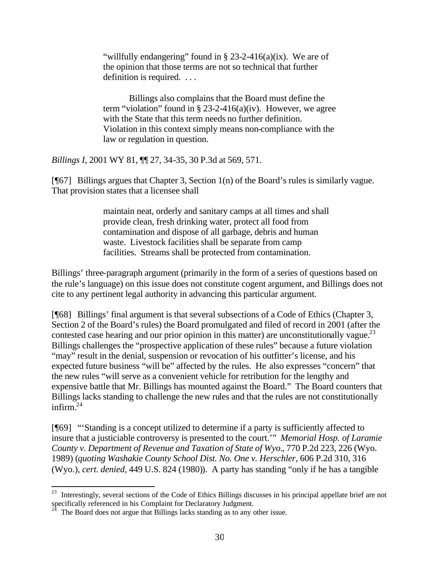"willfully endangering" found in  $\S 23-2-416(a)(ix)$ . We are of the opinion that those terms are not so technical that further definition is required. . . .

Billings also complains that the Board must define the term "violation" found in  $\S$  23-2-416(a)(iv). However, we agree with the State that this term needs no further definition. Violation in this context simply means non-compliance with the law or regulation in question.

*Billings I*, 2001 WY 81, ¶¶ 27, 34-35, 30 P.3d at 569, 571.

[¶67] Billings argues that Chapter 3, Section 1(n) of the Board's rules is similarly vague. That provision states that a licensee shall

> maintain neat, orderly and sanitary camps at all times and shall provide clean, fresh drinking water, protect all food from contamination and dispose of all garbage, debris and human waste. Livestock facilities shall be separate from camp facilities. Streams shall be protected from contamination.

Billings' three-paragraph argument (primarily in the form of a series of questions based on the rule's language) on this issue does not constitute cogent argument, and Billings does not cite to any pertinent legal authority in advancing this particular argument.

[¶68] Billings' final argument is that several subsections of a Code of Ethics (Chapter 3, Section 2 of the Board's rules) the Board promulgated and filed of record in 2001 (after the contested case hearing and our prior opinion in this matter) are unconstitutionally vague.<sup>23</sup> Billings challenges the "prospective application of these rules" because a future violation "may" result in the denial, suspension or revocation of his outfitter's license, and his expected future business "will be" affected by the rules. He also expresses "concern" that the new rules "will serve as a convenient vehicle for retribution for the lengthy and expensive battle that Mr. Billings has mounted against the Board." The Board counters that Billings lacks standing to challenge the new rules and that the rules are not constitutionally infirm. $24$ 

[¶69] "'Standing is a concept utilized to determine if a party is sufficiently affected to insure that a justiciable controversy is presented to the court.'" *Memorial Hosp. of Laramie County v. Department of Revenue and Taxation of State of Wyo.*, 770 P.2d 223, 226 (Wyo. 1989) (*quoting Washakie County School Dist. No. One v. Herschler*, 606 P.2d 310, 316 (Wyo.), *cert. denied*, 449 U.S. 824 (1980)). A party has standing "only if he has a tangible

l  $^{23}$  Interestingly, several sections of the Code of Ethics Billings discusses in his principal appellate brief are not specifically referenced in his Complaint for Declaratory Judgment.

The Board does not argue that Billings lacks standing as to any other issue.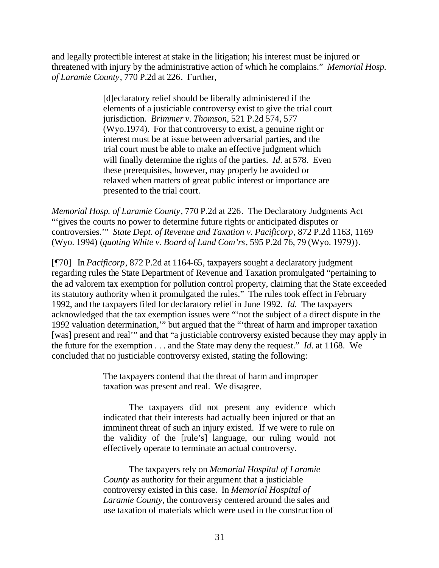and legally protectible interest at stake in the litigation; his interest must be injured or threatened with injury by the administrative action of which he complains." *Memorial Hosp. of Laramie County*, 770 P.2d at 226. Further,

> [d]eclaratory relief should be liberally administered if the elements of a justiciable controversy exist to give the trial court jurisdiction. *Brimmer v. Thomson*, 521 P.2d 574, 577 (Wyo.1974). For that controversy to exist, a genuine right or interest must be at issue between adversarial parties, and the trial court must be able to make an effective judgment which will finally determine the rights of the parties. *Id.* at 578. Even these prerequisites, however, may properly be avoided or relaxed when matters of great public interest or importance are presented to the trial court.

*Memorial Hosp. of Laramie County*, 770 P.2d at 226. The Declaratory Judgments Act "'gives the courts no power to determine future rights or anticipated disputes or controversies.'" *State Dept. of Revenue and Taxation v. Pacificorp*, 872 P.2d 1163, 1169 (Wyo. 1994) (*quoting White v. Board of Land Com'rs*, 595 P.2d 76, 79 (Wyo. 1979)).

[¶70] In *Pacificorp*, 872 P.2d at 1164-65, taxpayers sought a declaratory judgment regarding rules the State Department of Revenue and Taxation promulgated "pertaining to the ad valorem tax exemption for pollution control property, claiming that the State exceeded its statutory authority when it promulgated the rules." The rules took effect in February 1992, and the taxpayers filed for declaratory relief in June 1992. *Id.* The taxpayers acknowledged that the tax exemption issues were "'not the subject of a direct dispute in the 1992 valuation determination,'" but argued that the "'threat of harm and improper taxation [was] present and real'" and that "a justiciable controversy existed because they may apply in the future for the exemption . . . and the State may deny the request." *Id.* at 1168. We concluded that no justiciable controversy existed, stating the following:

> The taxpayers contend that the threat of harm and improper taxation was present and real. We disagree.

The taxpayers did not present any evidence which indicated that their interests had actually been injured or that an imminent threat of such an injury existed. If we were to rule on the validity of the [rule's] language, our ruling would not effectively operate to terminate an actual controversy.

The taxpayers rely on *Memorial Hospital of Laramie County* as authority for their argument that a justiciable controversy existed in this case. In *Memorial Hospital of Laramie County*, the controversy centered around the sales and use taxation of materials which were used in the construction of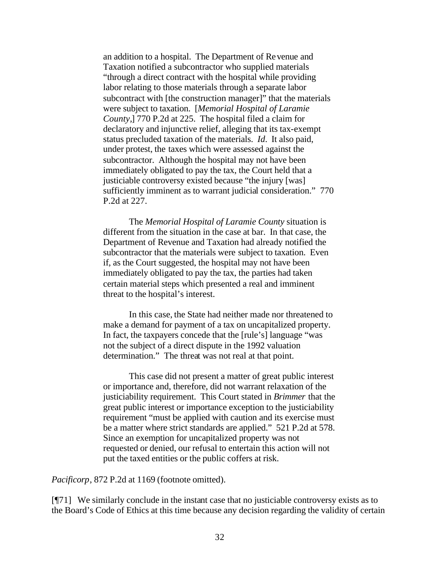an addition to a hospital. The Department of Revenue and Taxation notified a subcontractor who supplied materials "through a direct contract with the hospital while providing labor relating to those materials through a separate labor subcontract with [the construction manager]" that the materials were subject to taxation. [*Memorial Hospital of Laramie County,*] 770 P.2d at 225. The hospital filed a claim for declaratory and injunctive relief, alleging that its tax-exempt status precluded taxation of the materials. *Id.* It also paid, under protest, the taxes which were assessed against the subcontractor. Although the hospital may not have been immediately obligated to pay the tax, the Court held that a justiciable controversy existed because "the injury [was] sufficiently imminent as to warrant judicial consideration." 770 P.2d at 227.

The *Memorial Hospital of Laramie County* situation is different from the situation in the case at bar. In that case, the Department of Revenue and Taxation had already notified the subcontractor that the materials were subject to taxation. Even if, as the Court suggested, the hospital may not have been immediately obligated to pay the tax, the parties had taken certain material steps which presented a real and imminent threat to the hospital's interest.

In this case, the State had neither made nor threatened to make a demand for payment of a tax on uncapitalized property. In fact, the taxpayers concede that the [rule's] language "was not the subject of a direct dispute in the 1992 valuation determination." The threat was not real at that point.

This case did not present a matter of great public interest or importance and, therefore, did not warrant relaxation of the justiciability requirement. This Court stated in *Brimmer* that the great public interest or importance exception to the justiciability requirement "must be applied with caution and its exercise must be a matter where strict standards are applied." 521 P.2d at 578. Since an exemption for uncapitalized property was not requested or denied, our refusal to entertain this action will not put the taxed entities or the public coffers at risk.

*Pacificorp*, 872 P.2d at 1169 (footnote omitted).

[¶71] We similarly conclude in the instant case that no justiciable controversy exists as to the Board's Code of Ethics at this time because any decision regarding the validity of certain